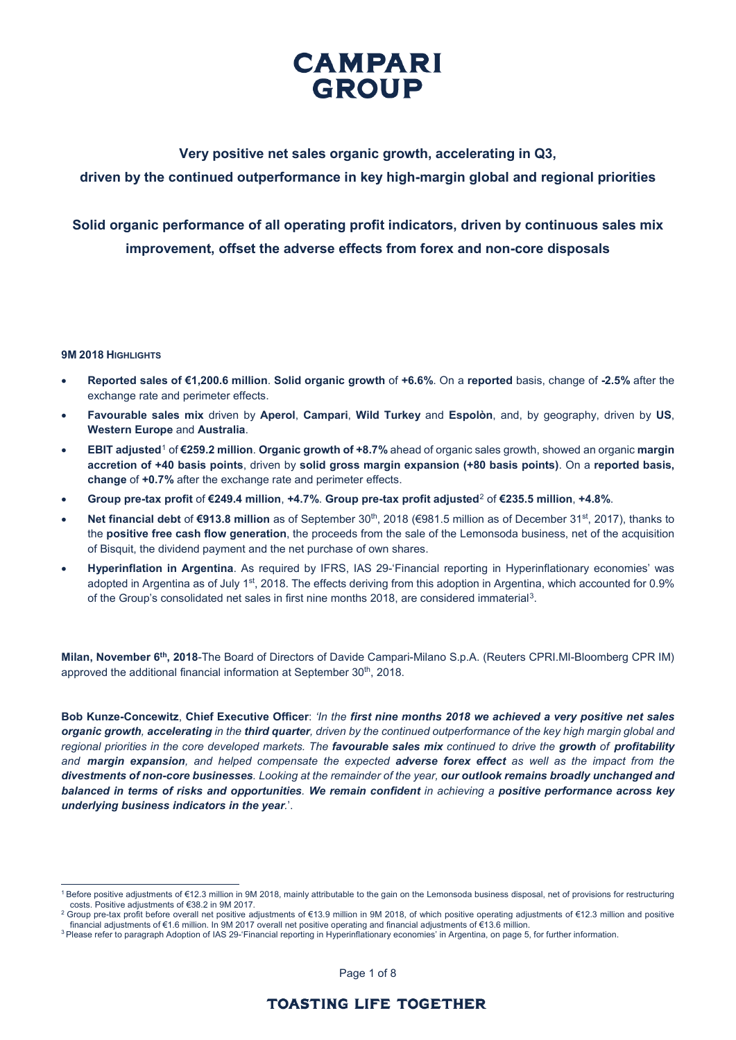

## **Very positive net sales organic growth, accelerating in Q3,**

## **driven by the continued outperformance in key high-margin global and regional priorities**

# **Solid organic performance of all operating profit indicators, driven by continuous sales mix improvement, offset the adverse effects from forex and non-core disposals**

### **9M 2018 HIGHLIGHTS**

- **Reported sales of €1,200.6 million**. **Solid organic growth** of **+6.6%**. On a **reported** basis, change of **-2.5%** after the exchange rate and perimeter effects.
- **Favourable sales mix** driven by **Aperol**, **Campari**, **Wild Turkey** and **Espolòn**, and, by geography, driven by **US**, **Western Europe** and **Australia**.
- **EBIT adjusted**[1](#page-0-0) of **€259.2 million**. **Organic growth of +8.7%** ahead of organic sales growth, showed an organic **margin accretion of +40 basis points**, driven by **solid gross margin expansion (+80 basis points)**. On a **reported basis, change** of **+0.7%** after the exchange rate and perimeter effects.
- **Group pre-tax profit** of **€249.4 million**, **+4.7%**. **Group pre-tax profit adjusted**[2](#page-0-1) of **€235.5 million**, **+4.8%**.
- **Net financial debt** of **€913.8 million** as of September 30th, 2018 (€981.5 million as of December 31st, 2017), thanks to the **positive free cash flow generation**, the proceeds from the sale of the Lemonsoda business, net of the acquisition of Bisquit, the dividend payment and the net purchase of own shares.
- **Hyperinflation in Argentina**. As required by IFRS, IAS 29-'Financial reporting in Hyperinflationary economies' was adopted in Argentina as of July 1<sup>st</sup>, 2018. The effects deriving from this adoption in Argentina, which accounted for 0.9% of the Group's consolidated net sales in first nine months 2018, are considered immaterial[3](#page-0-2).

**Milan, November 6th, 2018**-The Board of Directors of Davide Campari-Milano S.p.A. (Reuters CPRI.MI-Bloomberg CPR IM) approved the additional financial information at September 30<sup>th</sup>, 2018.

**Bob Kunze-Concewitz**, **Chief Executive Officer**: *'In the first nine months 2018 we achieved a very positive net sales organic growth, accelerating in the third quarter, driven by the continued outperformance of the key high margin global and regional priorities in the core developed markets. The favourable sales mix continued to drive the growth of profitability and margin expansion, and helped compensate the expected adverse forex effect as well as the impact from the divestments of non-core businesses. Looking at the remainder of the year, our outlook remains broadly unchanged and balanced in terms of risks and opportunities. We remain confident in achieving a positive performance across key underlying business indicators in the year.*'.

Page 1 of 8

<span id="page-0-0"></span><sup>&</sup>lt;sup>1</sup> Before positive adjustments of €12.3 million in 9M 2018, mainly attributable to the gain on the Lemonsoda business disposal, net of provisions for restructuring<br>costs. Positive adjustments of €38.2 in 9M 2017.

<span id="page-0-1"></span><sup>&</sup>lt;sup>2</sup> Group pre-tax profit before overall net positive adjustments of €13.9 million in 9M 2018, of which positive operating adjustments of €12.3 million and positive financial adjustments of €1.6 million. In 9M 2017 overall net positive operating and financial adjustments of €13.6 million.

<span id="page-0-2"></span><sup>&</sup>lt;sup>3</sup> Please refer to paragraph Adoption of IAS 29-'Financial reporting in Hyperinflationary economies' in Argentina, on page 5, for further information.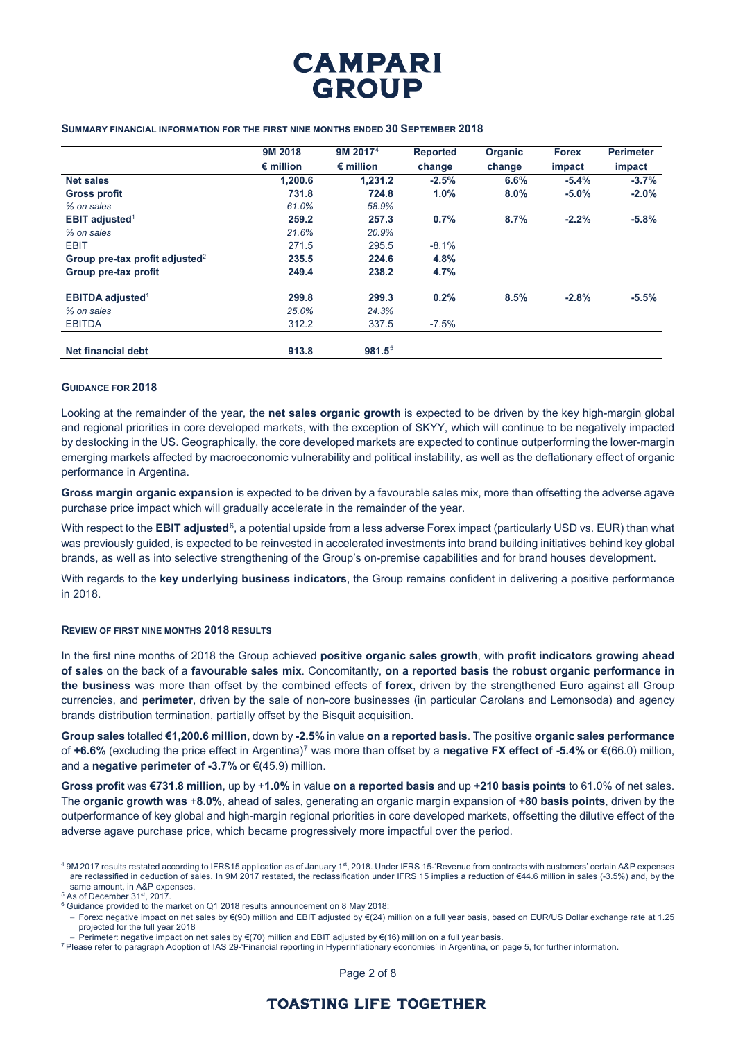

### **SUMMARY FINANCIAL INFORMATION FOR THE FIRST NINE MONTHS ENDED 30 SEPTEMBER 2018**

|                                            | 9M 2018            | 9M 2017 <sup>4</sup> | <b>Reported</b> | Organic | <b>Forex</b> | <b>Perimeter</b> |
|--------------------------------------------|--------------------|----------------------|-----------------|---------|--------------|------------------|
|                                            | $\epsilon$ million | $\epsilon$ million   | change          | change  | impact       | impact           |
| <b>Net sales</b>                           | 1,200.6            | 1.231.2              | $-2.5%$         | 6.6%    | $-5.4%$      | $-3.7%$          |
| <b>Gross profit</b>                        | 731.8              | 724.8                | 1.0%            | $8.0\%$ | $-5.0\%$     | $-2.0%$          |
| % on sales                                 | 61.0%              | 58.9%                |                 |         |              |                  |
| <b>EBIT adjusted</b> <sup>1</sup>          | 259.2              | 257.3                | 0.7%            | 8.7%    | $-2.2%$      | $-5.8%$          |
| % on sales                                 | 21.6%              | 20.9%                |                 |         |              |                  |
| <b>EBIT</b>                                | 271.5              | 295.5                | $-8.1%$         |         |              |                  |
| Group pre-tax profit adjusted <sup>2</sup> | 235.5              | 224.6                | 4.8%            |         |              |                  |
| Group pre-tax profit                       | 249.4              | 238.2                | 4.7%            |         |              |                  |
| <b>EBITDA adjusted<sup>1</sup></b>         | 299.8              | 299.3                | 0.2%            | 8.5%    | $-2.8%$      | $-5.5%$          |
| % on sales                                 | 25.0%              | 24.3%                |                 |         |              |                  |
| <b>EBITDA</b>                              | 312.2              | 337.5                | $-7.5%$         |         |              |                  |
| <b>Net financial debt</b>                  | 913.8              | $981.5^5$            |                 |         |              |                  |

### **GUIDANCE FOR 2018**

Looking at the remainder of the year, the **net sales organic growth** is expected to be driven by the key high-margin global and regional priorities in core developed markets, with the exception of SKYY, which will continue to be negatively impacted by destocking in the US. Geographically, the core developed markets are expected to continue outperforming the lower-margin emerging markets affected by macroeconomic vulnerability and political instability, as well as the deflationary effect of organic performance in Argentina.

**Gross margin organic expansion** is expected to be driven by a favourable sales mix, more than offsetting the adverse agave purchase price impact which will gradually accelerate in the remainder of the year.

With respect to the **EBIT adjusted**<sup>[6](#page-1-2)</sup>, a potential upside from a less adverse Forex impact (particularly USD vs. EUR) than what was previously guided, is expected to be reinvested in accelerated investments into brand building initiatives behind key global brands, as well as into selective strengthening of the Group's on-premise capabilities and for brand houses development.

With regards to the **key underlying business indicators**, the Group remains confident in delivering a positive performance in 2018.

### **REVIEW OF FIRST NINE MONTHS 2018 RESULTS**

In the first nine months of 2018 the Group achieved **positive organic sales growth**, with **profit indicators growing ahead of sales** on the back of a **favourable sales mix**. Concomitantly, **on a reported basis** the **robust organic performance in the business** was more than offset by the combined effects of **forex**, driven by the strengthened Euro against all Group currencies, and **perimeter**, driven by the sale of non-core businesses (in particular Carolans and Lemonsoda) and agency brands distribution termination, partially offset by the Bisquit acquisition.

**Group sales** totalled **€1,200.6 million**, down by **-2.5%** in value **on a reported basis**. The positive **organic sales performance**  of **+6.6%** (excluding the price effect in Argentina)[7](#page-1-3) was more than offset by a **negative FX effect of -5.4%** or €(66.0) million, and a **negative perimeter of -3.7%** or €(45.9) million.

**Gross profit** was **€731.8 million**, up by +**1.0%** in value **on a reported basis** and up **+210 basis points** to 61.0% of net sales. The **organic growth was** +**8.0%**, ahead of sales, generating an organic margin expansion of **+80 basis points**, driven by the outperformance of key global and high-margin regional priorities in core developed markets, offsetting the dilutive effect of the adverse agave purchase price, which became progressively more impactful over the period.

<span id="page-1-0"></span><sup>4 9</sup>M 2017 results restated according to IFRS15 application as of January 1<sup>st</sup>, 2018. Under IFRS 15-'Revenue from contracts with customers' certain A&P expenses are reclassified in deduction of sales. In 9M 2017 restated, the reclassification under IFRS 15 implies a reduction of €44.6 million in sales (-3.5%) and, by the<br>same amount, in A&P expenses.

<span id="page-1-1"></span> $<sup>5</sup>$  As of December 31st, 2017.</sup>

<span id="page-1-2"></span> $6$  Guidance provided to the market on Q1 2018 results announcement on 8 May 2018:

<sup>−</sup> Forex: negative impact on net sales by €(90) million and EBIT adjusted by €(24) million on a full year basis, based on EUR/US Dollar exchange rate at 1.25 projected for the full year 2018

<span id="page-1-3"></span><sup>–</sup> Perimeter: negative impact on net sales by €(70) million and EBIT adjusted by €(16) million on a full year basis.<br><sup>7</sup> Please refer to paragraph Adoption of IAS 29-'Financial reporting in Hyperinflationary economies' in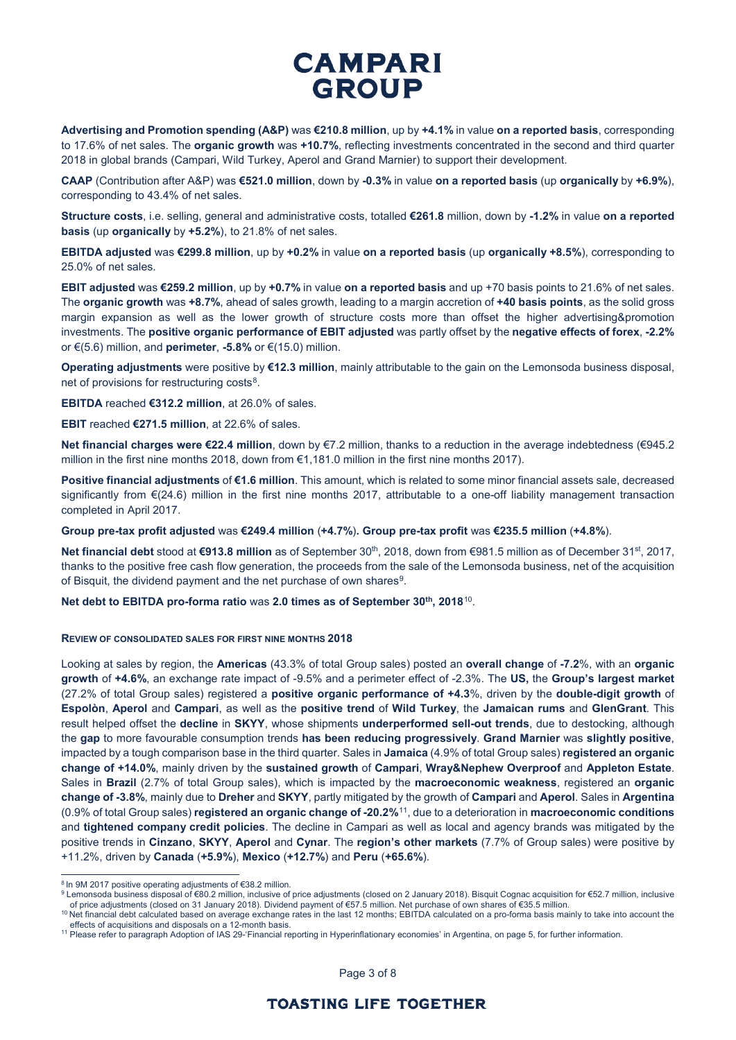**Advertising and Promotion spending (A&P)** was **€210.8 million**, up by **+4.1%** in value **on a reported basis**, corresponding to 17.6% of net sales. The **organic growth** was **+10.7%**, reflecting investments concentrated in the second and third quarter 2018 in global brands (Campari, Wild Turkey, Aperol and Grand Marnier) to support their development.

**CAAP** (Contribution after A&P) was **€521.0 million**, down by **-0.3%** in value **on a reported basis** (up **organically** by **+6.9%**), corresponding to 43.4% of net sales.

**Structure costs**, i.e. selling, general and administrative costs, totalled **€261.8** million, down by **-1.2%** in value **on a reported basis** (up **organically** by **+5.2%**), to 21.8% of net sales.

**EBITDA adjusted** was **€299.8 million**, up by **+0.2%** in value **on a reported basis** (up **organically +8.5%**), corresponding to 25.0% of net sales.

**EBIT adjusted** was **€259.2 million**, up by **+0.7%** in value **on a reported basis** and up +70 basis points to 21.6% of net sales. The **organic growth** was **+8.7%**, ahead of sales growth, leading to a margin accretion of **+40 basis points**, as the solid gross margin expansion as well as the lower growth of structure costs more than offset the higher advertising&promotion investments. The **positive organic performance of EBIT adjusted** was partly offset by the **negative effects of forex**, **-2.2%** or €(5.6) million, and **perimeter**, **-5.8%** or €(15.0) million.

**Operating adjustments** were positive by **€12.3 million**, mainly attributable to the gain on the Lemonsoda business disposal, net of provisions for restructuring costs<sup>[8](#page-2-0)</sup>.

**EBITDA** reached **€312.2 million**, at 26.0% of sales.

**EBIT** reached **€271.5 million**, at 22.6% of sales.

**Net financial charges were €22.4 million**, down by €7.2 million, thanks to a reduction in the average indebtedness (€945.2 million in the first nine months 2018, down from €1,181.0 million in the first nine months 2017).

**Positive financial adjustments** of **€1.6 million**. This amount, which is related to some minor financial assets sale, decreased significantly from €(24.6) million in the first nine months 2017, attributable to a one-off liability management transaction completed in April 2017.

**Group pre-tax profit adjusted** was **€249.4 million** (**+4.7%**)**. Group pre-tax profit** was **€235.5 million** (**+4.8%**).

**Net financial debt** stood at €913.8 million as of September 30<sup>th</sup>, 2018, down from €981.5 million as of December 31<sup>st</sup>, 2017, thanks to the positive free cash flow generation, the proceeds from the sale of the Lemonsoda business, net of the acquisition of Bisquit, the dividend payment and the net purchase of own shares $9$ .

**Net debt to EBITDA pro-forma ratio** was **2.0 times as of September 30th, 2018**[10](#page-2-2).

### **REVIEW OF CONSOLIDATED SALES FOR FIRST NINE MONTHS 2018**

Looking at sales by region, the **Americas** (43.3% of total Group sales) posted an **overall change** of **-7.2**%, with an **organic growth** of **+4.6%**, an exchange rate impact of -9.5% and a perimeter effect of -2.3%. The **US,** the **Group's largest market** (27.2% of total Group sales) registered a **positive organic performance of +4.3**%, driven by the **double-digit growth** of **Espolòn**, **Aperol** and **Campari**, as well as the **positive trend** of **Wild Turkey**, the **Jamaican rums** and **GlenGrant**. This result helped offset the **decline** in **SKYY**, whose shipments **underperformed sell-out trends**, due to destocking, although the **gap** to more favourable consumption trends **has been reducing progressively**. **Grand Marnier** was **slightly positive**, impacted by a tough comparison base in the third quarter. Sales in **Jamaica** (4.9% of total Group sales) **registered an organic change of +14.0%**, mainly driven by the **sustained growth** of **Campari**, **Wray&Nephew Overproof** and **Appleton Estate**. Sales in **Brazil** (2.7% of total Group sales), which is impacted by the **macroeconomic weakness**, registered an **organic change of -3.8%**, mainly due to **Dreher** and **SKYY**, partly mitigated by the growth of **Campari** and **Aperol**. Sales in **Argentina**  (0.9% of total Group sales) **registered an organic change of -20.2%**[11,](#page-2-3) due to a deterioration in **macroeconomic conditions** and **tightened company credit policies**. The decline in Campari as well as local and agency brands was mitigated by the positive trends in **Cinzano**, **SKYY**, **Aperol** and **Cynar**. The **region's other markets** (7.7% of Group sales) were positive by +11.2%, driven by **Canada** (**+5.9%**), **Mexico** (**+12.7%**) and **Peru** (**+65.6%**).

Page 3 of 8

<span id="page-2-0"></span> <sup>8</sup> In 9M 2017 positive operating adjustments of €38.2 million.

<span id="page-2-1"></span><sup>9</sup> Lemonsoda business disposal of €80.2 million, inclusive of price adjustments (closed on 2 January 2018). Bisquit Cognac acquisition for €52.7 million, inclusive of price adjustments (closed on 31 January 2018). Dividend payment of €57.5 million. Net purchase of own shares of €35.5 million.

<span id="page-2-2"></span><sup>&</sup>lt;sup>10</sup> Net financial debt calculated based on average exchange rates in the last 12 months; EBITDA calculated on a pro-forma basis mainly to take into account the effects of acquisitions and disposals on a 12-month basis.

<span id="page-2-3"></span><sup>11</sup> Please refer to paragraph Adoption of IAS 29-'Financial reporting in Hyperinflationary economies' in Argentina, on page 5, for further information.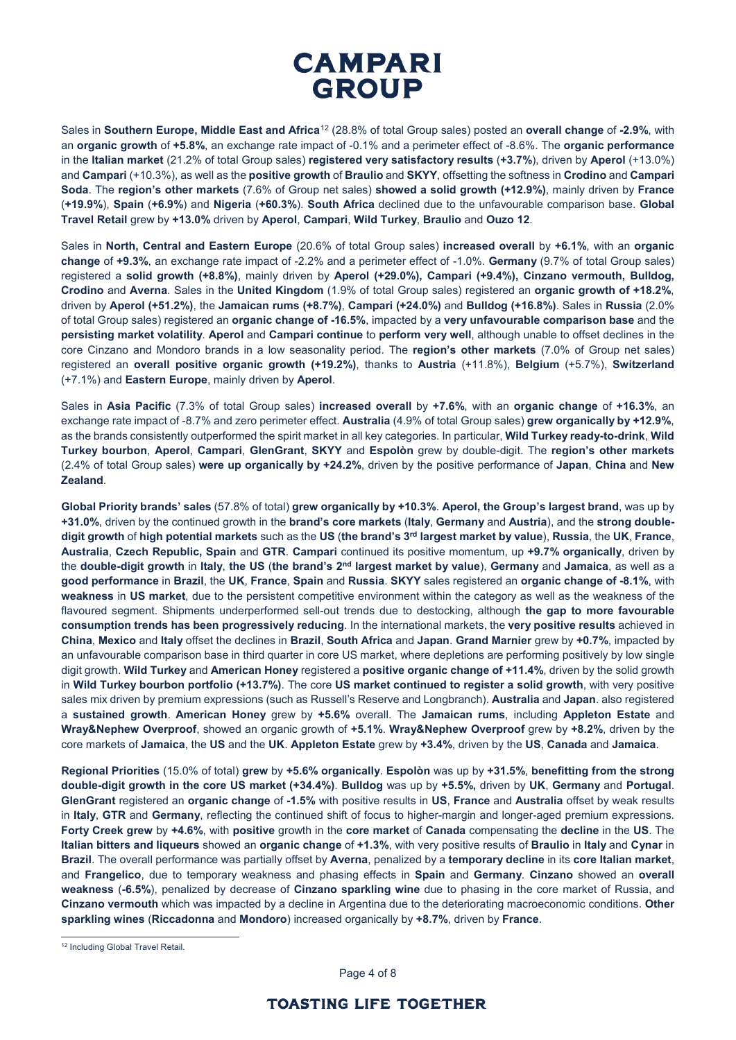Sales in **Southern Europe, Middle East and Africa**[12](#page-3-0) (28.8% of total Group sales) posted an **overall change** of **-2.9%**, with an **organic growth** of **+5.8%**, an exchange rate impact of -0.1% and a perimeter effect of -8.6%. The **organic performance** in the **Italian market** (21.2% of total Group sales) **registered very satisfactory results** (**+3.7%**), driven by **Aperol** (+13.0%) and **Campari** (+10.3%), as well as the **positive growth** of **Braulio** and **SKYY**, offsetting the softness in **Crodino** and **Campari Soda**. The **region's other markets** (7.6% of Group net sales) **showed a solid growth (+12.9%)**, mainly driven by **France** (**+19.9%**), **Spain** (**+6.9%**) and **Nigeria** (**+60.3%**). **South Africa** declined due to the unfavourable comparison base. **Global Travel Retail** grew by **+13.0%** driven by **Aperol**, **Campari**, **Wild Turkey**, **Braulio** and **Ouzo 12**.

Sales in **North, Central and Eastern Europe** (20.6% of total Group sales) **increased overall** by **+6.1%**, with an **organic change** of **+9.3%**, an exchange rate impact of -2.2% and a perimeter effect of -1.0%. **Germany** (9.7% of total Group sales) registered a **solid growth (+8.8%)**, mainly driven by **Aperol (+29.0%), Campari (+9.4%), Cinzano vermouth, Bulldog, Crodino** and **Averna**. Sales in the **United Kingdom** (1.9% of total Group sales) registered an **organic growth of +18.2%**, driven by **Aperol (+51.2%)**, the **Jamaican rums (+8.7%)**, **Campari (+24.0%)** and **Bulldog (+16.8%)**. Sales in **Russia** (2.0% of total Group sales) registered an **organic change of -16.5%**, impacted by a **very unfavourable comparison base** and the **persisting market volatility**. **Aperol** and **Campari continue** to **perform very well**, although unable to offset declines in the core Cinzano and Mondoro brands in a low seasonality period. The **region's other markets** (7.0% of Group net sales) registered an **overall positive organic growth (+19.2%)**, thanks to **Austria** (+11.8%), **Belgium** (+5.7%), **Switzerland** (+7.1%) and **Eastern Europe**, mainly driven by **Aperol**.

Sales in **Asia Pacific** (7.3% of total Group sales) **increased overall** by **+7.6%**, with an **organic change** of **+16.3%**, an exchange rate impact of -8.7% and zero perimeter effect. **Australia** (4.9% of total Group sales) **grew organically by +12.9%**, as the brands consistently outperformed the spirit market in all key categories. In particular, **Wild Turkey ready-to-drink**, **Wild Turkey bourbon**, **Aperol**, **Campari**, **GlenGrant**, **SKYY** and **Espolòn** grew by double-digit. The **region's other markets** (2.4% of total Group sales) **were up organically by +24.2%**, driven by the positive performance of **Japan**, **China** and **New Zealand**.

**Global Priority brands' sales** (57.8% of total) **grew organically by +10.3%**. **Aperol, the Group's largest brand**, was up by **+31.0%**, driven by the continued growth in the **brand's core markets** (**Italy**, **Germany** and **Austria**), and the **strong doubledigit growth** of **high potential markets** such as the **US** (**the brand's 3rd largest market by value**), **Russia**, the **UK**, **France**, **Australia**, **Czech Republic, Spain** and **GTR**. **Campari** continued its positive momentum, up **+9.7% organically**, driven by the **double-digit growth** in **Italy**, **the US** (**the brand's 2nd largest market by value**), **Germany** and **Jamaica**, as well as a **good performance** in **Brazil**, the **UK**, **France**, **Spain** and **Russia**. **SKYY** sales registered an **organic change of -8.1%**, with **weakness** in **US market**, due to the persistent competitive environment within the category as well as the weakness of the flavoured segment. Shipments underperformed sell-out trends due to destocking, although **the gap to more favourable consumption trends has been progressively reducing**. In the international markets, the **very positive results** achieved in **China**, **Mexico** and **Italy** offset the declines in **Brazil**, **South Africa** and **Japan**. **Grand Marnier** grew by **+0.7%**, impacted by an unfavourable comparison base in third quarter in core US market, where depletions are performing positively by low single digit growth. **Wild Turkey** and **American Honey** registered a **positive organic change of +11.4%**, driven by the solid growth in **Wild Turkey bourbon portfolio (+13.7%)**. The core **US market continued to register a solid growth**, with very positive sales mix driven by premium expressions (such as Russell's Reserve and Longbranch). **Australia** and **Japan**. also registered a **sustained growth**. **American Honey** grew by **+5.6%** overall. The **Jamaican rums**, including **Appleton Estate** and **Wray&Nephew Overproof**, showed an organic growth of **+5.1%**. **Wray&Nephew Overproof** grew by **+8.2%**, driven by the core markets of **Jamaica**, the **US** and the **UK**. **Appleton Estate** grew by **+3.4%**, driven by the **US**, **Canada** and **Jamaica**.

**Regional Priorities** (15.0% of total) **grew** by **+5.6% organically**. **Espolòn** was up by **+31.5%**, **benefitting from the strong double-digit growth in the core US market (+34.4%)**. **Bulldog** was up by **+5.5%,** driven by **UK**, **Germany** and **Portugal**. **GlenGrant** registered an **organic change** of **-1.5%** with positive results in **US**, **France** and **Australia** offset by weak results in **Italy**, **GTR** and **Germany**, reflecting the continued shift of focus to higher-margin and longer-aged premium expressions. **Forty Creek grew** by **+4.6%**, with **positive** growth in the **core market** of **Canada** compensating the **decline** in the **US**. The **Italian bitters and liqueurs** showed an **organic change** of **+1.3%**, with very positive results of **Braulio** in **Italy** and **Cynar** in **Brazil**. The overall performance was partially offset by **Averna**, penalized by a **temporary decline** in its **core Italian market**, and **Frangelico**, due to temporary weakness and phasing effects in **Spain** and **Germany**. **Cinzano** showed an **overall weakness** (**-6.5%**), penalized by decrease of **Cinzano sparkling wine** due to phasing in the core market of Russia, and **Cinzano vermouth** which was impacted by a decline in Argentina due to the deteriorating macroeconomic conditions. **Other sparkling wines** (**Riccadonna** and **Mondoro**) increased organically by **+8.7%**, driven by **France**.

Page 4 of 8

<span id="page-3-0"></span><sup>&</sup>lt;sup>12</sup> Including Global Travel Retail.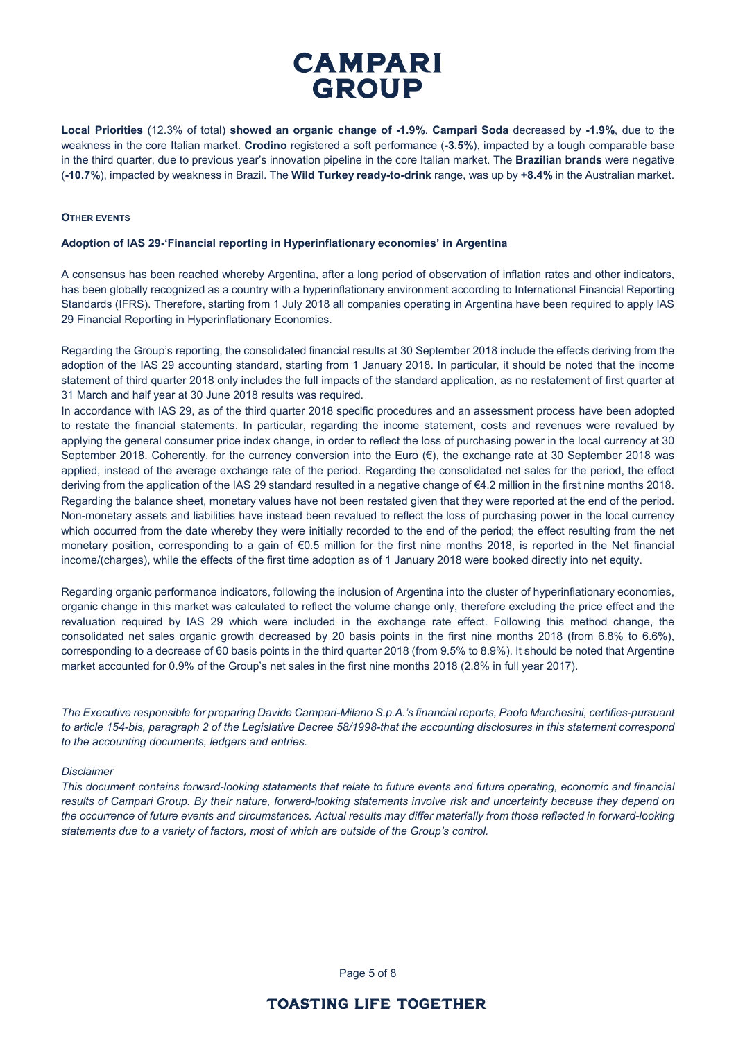**Local Priorities** (12.3% of total) **showed an organic change of -1.9%**. **Campari Soda** decreased by **-1.9%**, due to the weakness in the core Italian market. **Crodino** registered a soft performance (**-3.5%**), impacted by a tough comparable base in the third quarter, due to previous year's innovation pipeline in the core Italian market. The **Brazilian brands** were negative (**-10.7%**), impacted by weakness in Brazil. The **Wild Turkey ready-to-drink** range, was up by **+8.4%** in the Australian market.

### **OTHER EVENTS**

## **Adoption of IAS 29-'Financial reporting in Hyperinflationary economies' in Argentina**

A consensus has been reached whereby Argentina, after a long period of observation of inflation rates and other indicators, has been globally recognized as a country with a hyperinflationary environment according to International Financial Reporting Standards (IFRS). Therefore, starting from 1 July 2018 all companies operating in Argentina have been required to apply IAS 29 Financial Reporting in Hyperinflationary Economies.

Regarding the Group's reporting, the consolidated financial results at 30 September 2018 include the effects deriving from the adoption of the IAS 29 accounting standard, starting from 1 January 2018. In particular, it should be noted that the income statement of third quarter 2018 only includes the full impacts of the standard application, as no restatement of first quarter at 31 March and half year at 30 June 2018 results was required.

In accordance with IAS 29, as of the third quarter 2018 specific procedures and an assessment process have been adopted to restate the financial statements. In particular, regarding the income statement, costs and revenues were revalued by applying the general consumer price index change, in order to reflect the loss of purchasing power in the local currency at 30 September 2018. Coherently, for the currency conversion into the Euro  $(\epsilon)$ , the exchange rate at 30 September 2018 was applied, instead of the average exchange rate of the period. Regarding the consolidated net sales for the period, the effect deriving from the application of the IAS 29 standard resulted in a negative change of €4.2 million in the first nine months 2018. Regarding the balance sheet, monetary values have not been restated given that they were reported at the end of the period. Non-monetary assets and liabilities have instead been revalued to reflect the loss of purchasing power in the local currency which occurred from the date whereby they were initially recorded to the end of the period; the effect resulting from the net monetary position, corresponding to a gain of €0.5 million for the first nine months 2018, is reported in the Net financial income/(charges), while the effects of the first time adoption as of 1 January 2018 were booked directly into net equity.

Regarding organic performance indicators, following the inclusion of Argentina into the cluster of hyperinflationary economies, organic change in this market was calculated to reflect the volume change only, therefore excluding the price effect and the revaluation required by IAS 29 which were included in the exchange rate effect. Following this method change, the consolidated net sales organic growth decreased by 20 basis points in the first nine months 2018 (from 6.8% to 6.6%), corresponding to a decrease of 60 basis points in the third quarter 2018 (from 9.5% to 8.9%). It should be noted that Argentine market accounted for 0.9% of the Group's net sales in the first nine months 2018 (2.8% in full year 2017).

*The Executive responsible for preparing Davide Campari-Milano S.p.A.'s financial reports, Paolo Marchesini, certifies-pursuant to article 154-bis, paragraph 2 of the Legislative Decree 58/1998-that the accounting disclosures in this statement correspond to the accounting documents, ledgers and entries.* 

### *Disclaimer*

*This document contains forward-looking statements that relate to future events and future operating, economic and financial results of Campari Group. By their nature, forward-looking statements involve risk and uncertainty because they depend on the occurrence of future events and circumstances. Actual results may differ materially from those reflected in forward-looking statements due to a variety of factors, most of which are outside of the Group's control.*

Page 5 of 8

# **TOASTING LIFE TOGETHER**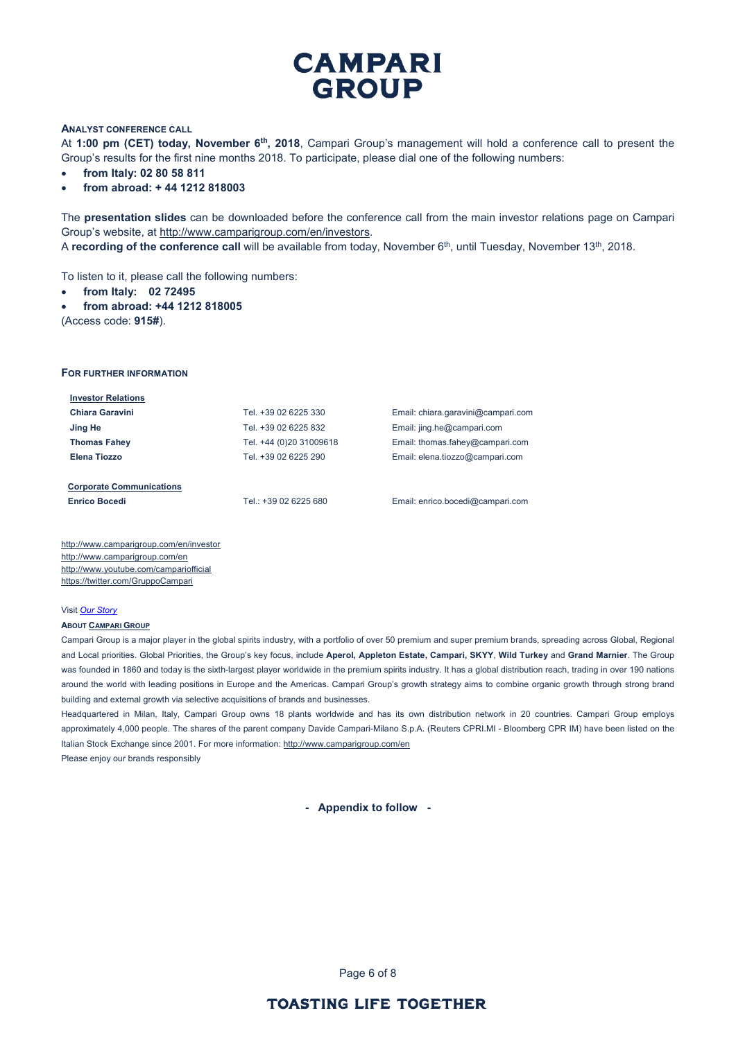### **ANALYST CONFERENCE CALL**

At **1:00 pm (CET) today, November 6th, 2018**, Campari Group's management will hold a conference call to present the Group's results for the first nine months 2018. To participate, please dial one of the following numbers:

- **from Italy: 02 80 58 811**
- **from abroad: + 44 1212 818003**

The **presentation slides** can be downloaded before the conference call from the main investor relations page on Campari Group's website, at [http://www.camparigroup.com/en/investors.](http://www.camparigroup.com/en/investors)

A **recording of the conference call** will be available from today, November 6<sup>th</sup>, until Tuesday, November 13<sup>th</sup>, 2018.

To listen to it, please call the following numbers:

- **from Italy: 02 72495**
- **from abroad: +44 1212 818005**

(Access code: **915#**).

#### **FOR FURTHER INFORMATION**

| <b>Investor Relations</b>       |                         |                                    |
|---------------------------------|-------------------------|------------------------------------|
| Chiara Garavini                 | Tel. +39 02 6225 330    | Email: chiara.garavini@campari.com |
| Jing He                         | Tel. +39 02 6225 832    | Email: jing.he@campari.com         |
| <b>Thomas Fahey</b>             | Tel. +44 (0)20 31009618 | Email: thomas.fahey@campari.com    |
| Elena Tiozzo                    | Tel. +39 02 6225 290    | Email: elena.tiozzo@campari.com    |
|                                 |                         |                                    |
| <b>Corporate Communications</b> |                         |                                    |

**Enrico Bocedi** Tel.: +39 02 6225 680 Email[: enrico.bocedi@campari.com](mailto:enrico.bocedi@campari.com)

http://www.camparigroup.com/en/investor http://www.camparigroup.com/en <http://www.youtube.com/campariofficial> <https://twitter.com/GruppoCampari>

#### Visit *[Our Story](https://youtu.be/ilNVsU9Cigo)*

#### **ABOU[T CAMPARI GROUP](http://www.camparigroup.com/en/index.shtml)**

Campari Group is a major player in the global spirits industry, with a portfolio of over 50 premium and super premium brands, spreading across Global, Regional and Local priorities. Global Priorities, the Group's key focus, include **Aperol, Appleton Estate, Campari, SKYY**, **Wild Turkey** and **Grand Marnier**. The Group was founded in 1860 and today is the sixth-largest player worldwide in the premium spirits industry. It has a global distribution reach, trading in over 190 nations around the world with leading positions in Europe and the Americas. Campari Group's growth strategy aims to combine organic growth through strong brand building and external growth via selective acquisitions of brands and businesses.

Headquartered in Milan, Italy, Campari Group owns 18 plants worldwide and has its own distribution network in 20 countries. Campari Group employs approximately 4,000 people. The shares of the parent company Davide Campari-Milano S.p.A. (Reuters CPRI.MI - Bloomberg CPR IM) have been listed on the Italian Stock Exchange since 2001. For more information: http://www.camparigroup.com/en Please enjoy our brands responsibly

**- Appendix to follow -**

Page 6 of 8

# **TOASTING LIFE TOGETHER**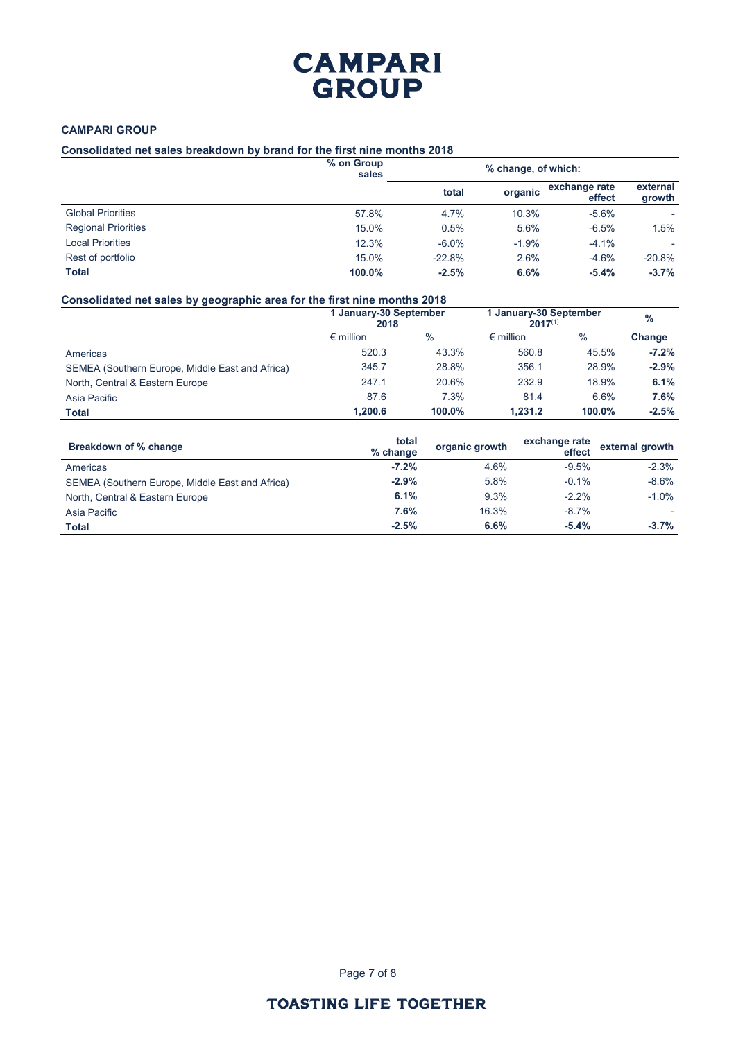## **CAMPARI GROUP**

## **Consolidated net sales breakdown by brand for the first nine months 2018**

|                            | % on Group<br>sales |          | % change, of which: |                         |                    |
|----------------------------|---------------------|----------|---------------------|-------------------------|--------------------|
|                            |                     | total    | organic             | exchange rate<br>effect | external<br>growth |
| <b>Global Priorities</b>   | 57.8%               | 4.7%     | 10.3%               | $-5.6%$                 |                    |
| <b>Regional Priorities</b> | 15.0%               | 0.5%     | 5.6%                | $-6.5%$                 | 1.5%               |
| <b>Local Priorities</b>    | 12.3%               | $-6.0\%$ | $-1.9%$             | $-4.1%$                 |                    |
| Rest of portfolio          | 15.0%               | $-22.8%$ | 2.6%                | $-4.6%$                 | $-20.8%$           |
| <b>Total</b>               | 100.0%              | $-2.5%$  | 6.6%                | $-5.4%$                 | $-3.7%$            |

## **Consolidated net sales by geographic area for the first nine months 2018**

| .                                               | 1 January-30 September<br>2018 |               | 1 January-30 September<br>$2017^{(1)}$ |               | $\%$    |
|-------------------------------------------------|--------------------------------|---------------|----------------------------------------|---------------|---------|
|                                                 | $\epsilon$ million             | $\frac{0}{0}$ | $\epsilon$ million                     | $\frac{0}{0}$ | Change  |
| Americas                                        | 520.3                          | 43.3%         | 560.8                                  | 45.5%         | $-7.2%$ |
| SEMEA (Southern Europe, Middle East and Africa) | 345.7                          | 28.8%         | 356.1                                  | 28.9%         | $-2.9%$ |
| North, Central & Eastern Europe                 | 247.1                          | 20.6%         | 232.9                                  | 18.9%         | 6.1%    |
| Asia Pacific                                    | 87.6                           | 7.3%          | 81.4                                   | 6.6%          | 7.6%    |
| Total                                           | 1.200.6                        | 100.0%        | 1.231.2                                | 100.0%        | $-2.5%$ |

| Breakdown of % change                           | total<br>% change | organic growth | exchange rate<br>effect | external growth |
|-------------------------------------------------|-------------------|----------------|-------------------------|-----------------|
| Americas                                        | $-7.2%$           | 4.6%           | $-9.5%$                 | $-2.3%$         |
| SEMEA (Southern Europe, Middle East and Africa) | $-2.9%$           | 5.8%           | $-0.1\%$                | $-8.6\%$        |
| North, Central & Eastern Europe                 | 6.1%              | 9.3%           | $-2.2%$                 | $-1.0\%$        |
| Asia Pacific                                    | 7.6%              | 16.3%          | $-8.7\%$                |                 |
| <b>Total</b>                                    | $-2.5%$           | 6.6%           | $-5.4%$                 | $-3.7%$         |

Page 7 of 8